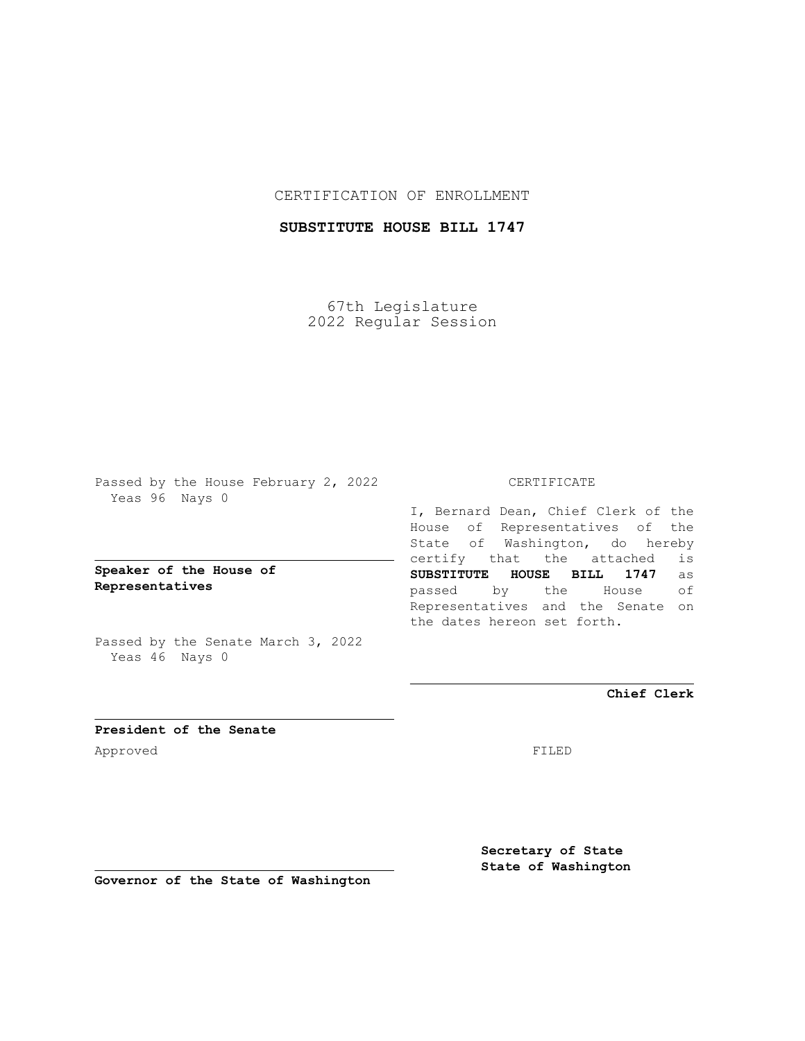## CERTIFICATION OF ENROLLMENT

# **SUBSTITUTE HOUSE BILL 1747**

67th Legislature 2022 Regular Session

Passed by the House February 2, 2022 Yeas 96 Nays 0

**Speaker of the House of Representatives**

Passed by the Senate March 3, 2022 Yeas 46 Nays 0

### CERTIFICATE

I, Bernard Dean, Chief Clerk of the House of Representatives of the State of Washington, do hereby certify that the attached is **SUBSTITUTE HOUSE BILL 1747** as passed by the House of Representatives and the Senate on the dates hereon set forth.

**Chief Clerk**

**President of the Senate** Approved FILED

**Secretary of State State of Washington**

**Governor of the State of Washington**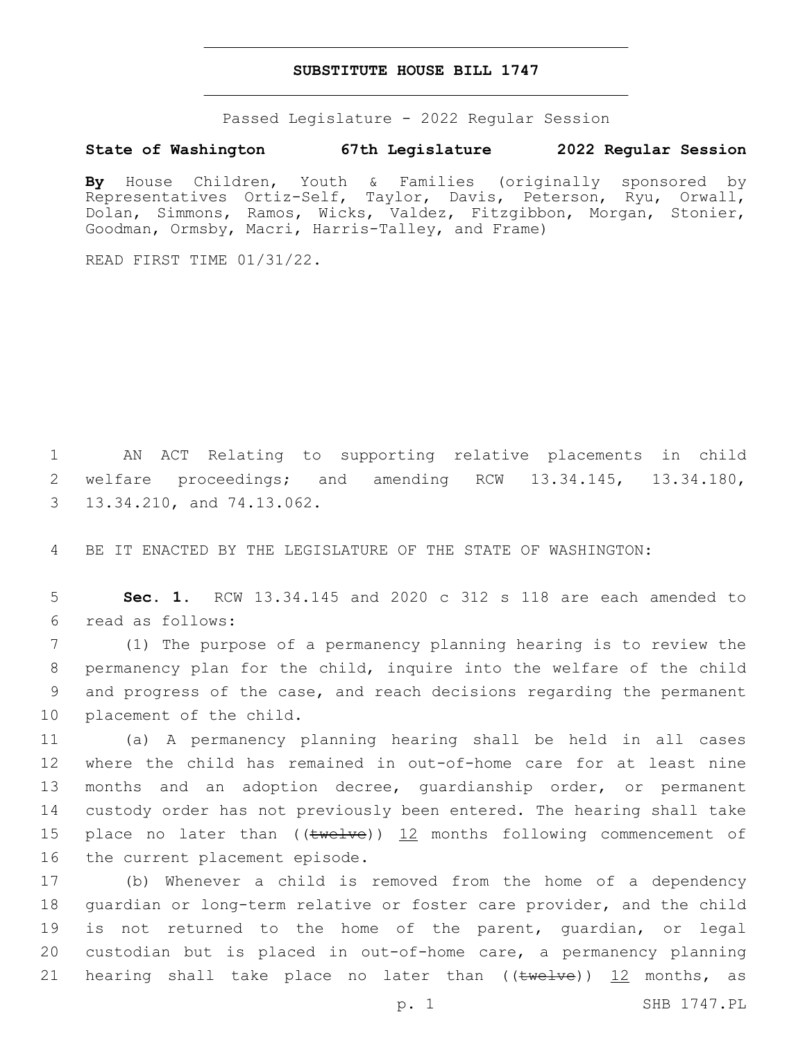#### **SUBSTITUTE HOUSE BILL 1747**

Passed Legislature - 2022 Regular Session

#### **State of Washington 67th Legislature 2022 Regular Session**

**By** House Children, Youth & Families (originally sponsored by Representatives Ortiz-Self, Taylor, Davis, Peterson, Ryu, Orwall, Dolan, Simmons, Ramos, Wicks, Valdez, Fitzgibbon, Morgan, Stonier, Goodman, Ormsby, Macri, Harris-Talley, and Frame)

READ FIRST TIME 01/31/22.

1 AN ACT Relating to supporting relative placements in child 2 welfare proceedings; and amending RCW 13.34.145, 13.34.180, 3 13.34.210, and 74.13.062.

4 BE IT ENACTED BY THE LEGISLATURE OF THE STATE OF WASHINGTON:

5 **Sec. 1.** RCW 13.34.145 and 2020 c 312 s 118 are each amended to read as follows:6

 (1) The purpose of a permanency planning hearing is to review the permanency plan for the child, inquire into the welfare of the child and progress of the case, and reach decisions regarding the permanent 10 placement of the child.

 (a) A permanency planning hearing shall be held in all cases where the child has remained in out-of-home care for at least nine months and an adoption decree, guardianship order, or permanent custody order has not previously been entered. The hearing shall take 15 place no later than  $((\text{twelve}))$  12 months following commencement of 16 the current placement episode.

 (b) Whenever a child is removed from the home of a dependency guardian or long-term relative or foster care provider, and the child is not returned to the home of the parent, guardian, or legal custodian but is placed in out-of-home care, a permanency planning 21 hearing shall take place no later than  $((\text{twelve}))$   $\frac{12}{12}$  months, as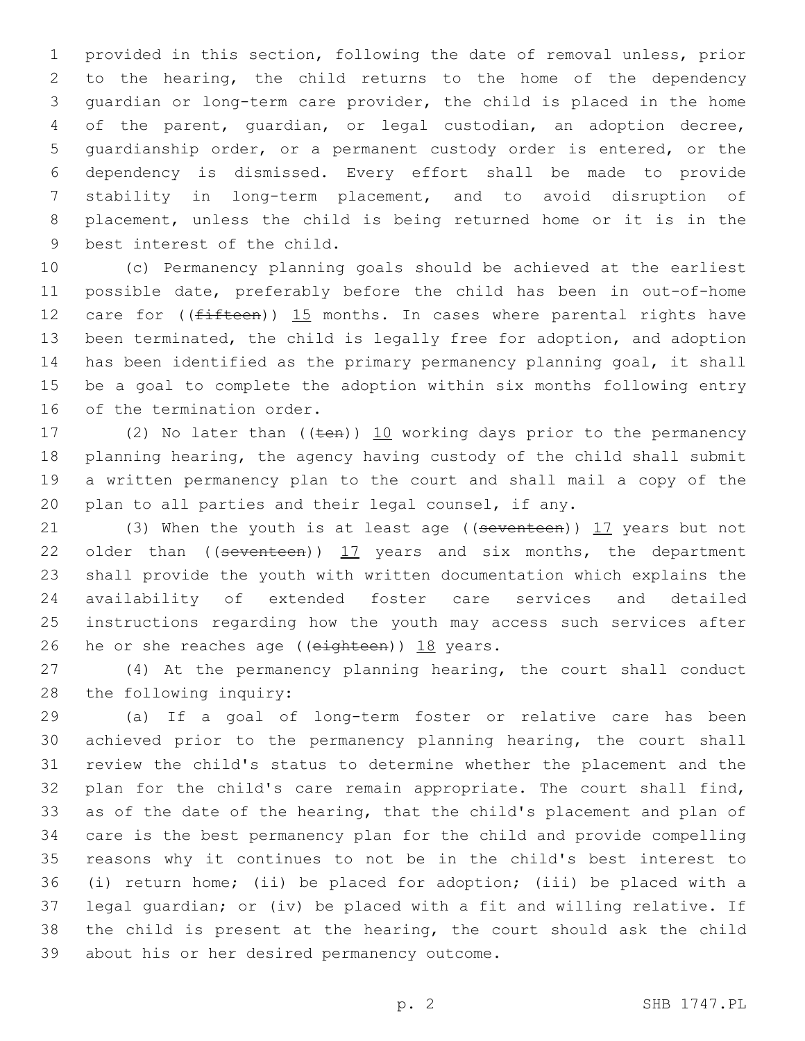provided in this section, following the date of removal unless, prior to the hearing, the child returns to the home of the dependency guardian or long-term care provider, the child is placed in the home of the parent, guardian, or legal custodian, an adoption decree, guardianship order, or a permanent custody order is entered, or the dependency is dismissed. Every effort shall be made to provide stability in long-term placement, and to avoid disruption of placement, unless the child is being returned home or it is in the 9 best interest of the child.

 (c) Permanency planning goals should be achieved at the earliest possible date, preferably before the child has been in out-of-home 12 care for  $($ ( $f$ ifteen)) 15 months. In cases where parental rights have been terminated, the child is legally free for adoption, and adoption has been identified as the primary permanency planning goal, it shall be a goal to complete the adoption within six months following entry 16 of the termination order.

17 (2) No later than  $((\text{ten}))$  10 working days prior to the permanency planning hearing, the agency having custody of the child shall submit a written permanency plan to the court and shall mail a copy of the plan to all parties and their legal counsel, if any.

21 (3) When the youth is at least age ((seventeen)) 17 years but not 22 older than  $($  (seventeen))  $17$  years and six months, the department shall provide the youth with written documentation which explains the availability of extended foster care services and detailed instructions regarding how the youth may access such services after 26 he or she reaches age (( $e$ ighteen)) 18 years.

 (4) At the permanency planning hearing, the court shall conduct 28 the following inquiry:

 (a) If a goal of long-term foster or relative care has been achieved prior to the permanency planning hearing, the court shall review the child's status to determine whether the placement and the plan for the child's care remain appropriate. The court shall find, as of the date of the hearing, that the child's placement and plan of care is the best permanency plan for the child and provide compelling reasons why it continues to not be in the child's best interest to (i) return home; (ii) be placed for adoption; (iii) be placed with a legal guardian; or (iv) be placed with a fit and willing relative. If the child is present at the hearing, the court should ask the child 39 about his or her desired permanency outcome.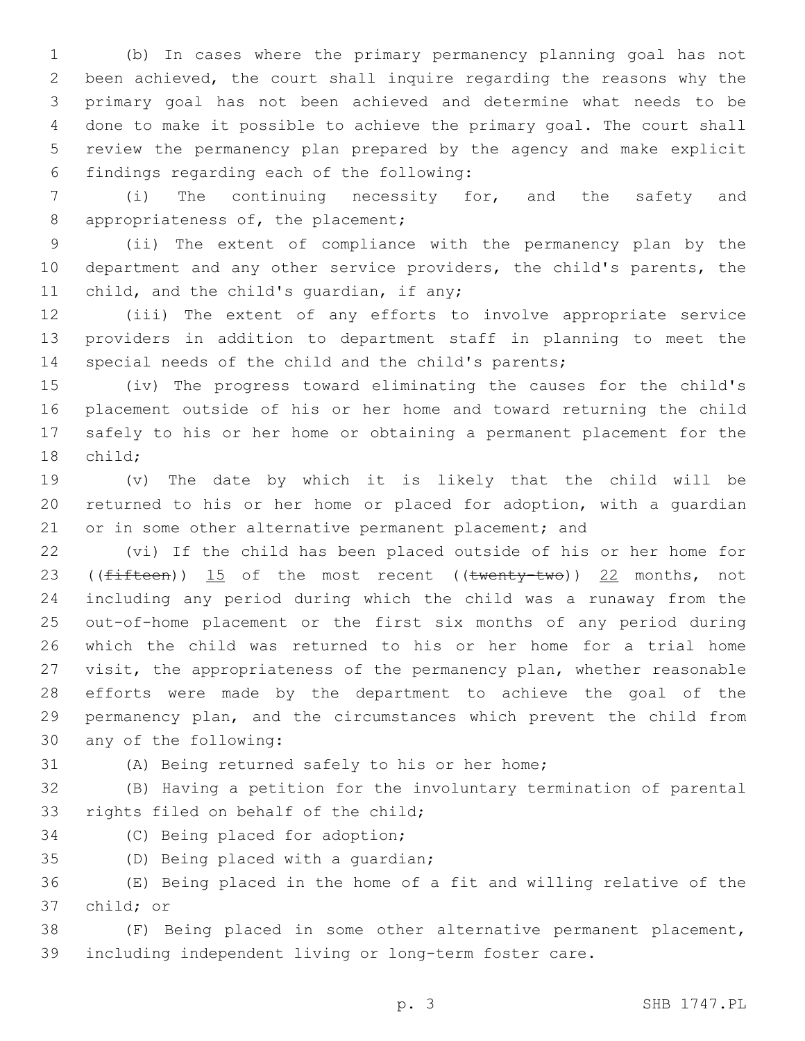(b) In cases where the primary permanency planning goal has not been achieved, the court shall inquire regarding the reasons why the primary goal has not been achieved and determine what needs to be done to make it possible to achieve the primary goal. The court shall review the permanency plan prepared by the agency and make explicit findings regarding each of the following:6

 (i) The continuing necessity for, and the safety and 8 appropriateness of, the placement;

 (ii) The extent of compliance with the permanency plan by the department and any other service providers, the child's parents, the 11 child, and the child's quardian, if any;

 (iii) The extent of any efforts to involve appropriate service providers in addition to department staff in planning to meet the special needs of the child and the child's parents;

 (iv) The progress toward eliminating the causes for the child's placement outside of his or her home and toward returning the child safely to his or her home or obtaining a permanent placement for the 18 child;

 (v) The date by which it is likely that the child will be returned to his or her home or placed for adoption, with a guardian 21 or in some other alternative permanent placement; and

 (vi) If the child has been placed outside of his or her home for 23 (( $fifteen$ ))  $15$  of the most recent (( $twenty-two$ ))  $22$  months, not including any period during which the child was a runaway from the out-of-home placement or the first six months of any period during which the child was returned to his or her home for a trial home visit, the appropriateness of the permanency plan, whether reasonable efforts were made by the department to achieve the goal of the permanency plan, and the circumstances which prevent the child from 30 any of the following:

# (A) Being returned safely to his or her home;

 (B) Having a petition for the involuntary termination of parental 33 rights filed on behalf of the child;

34 (C) Being placed for adoption;

35 (D) Being placed with a quardian;

 (E) Being placed in the home of a fit and willing relative of the 37 child; or

 (F) Being placed in some other alternative permanent placement, including independent living or long-term foster care.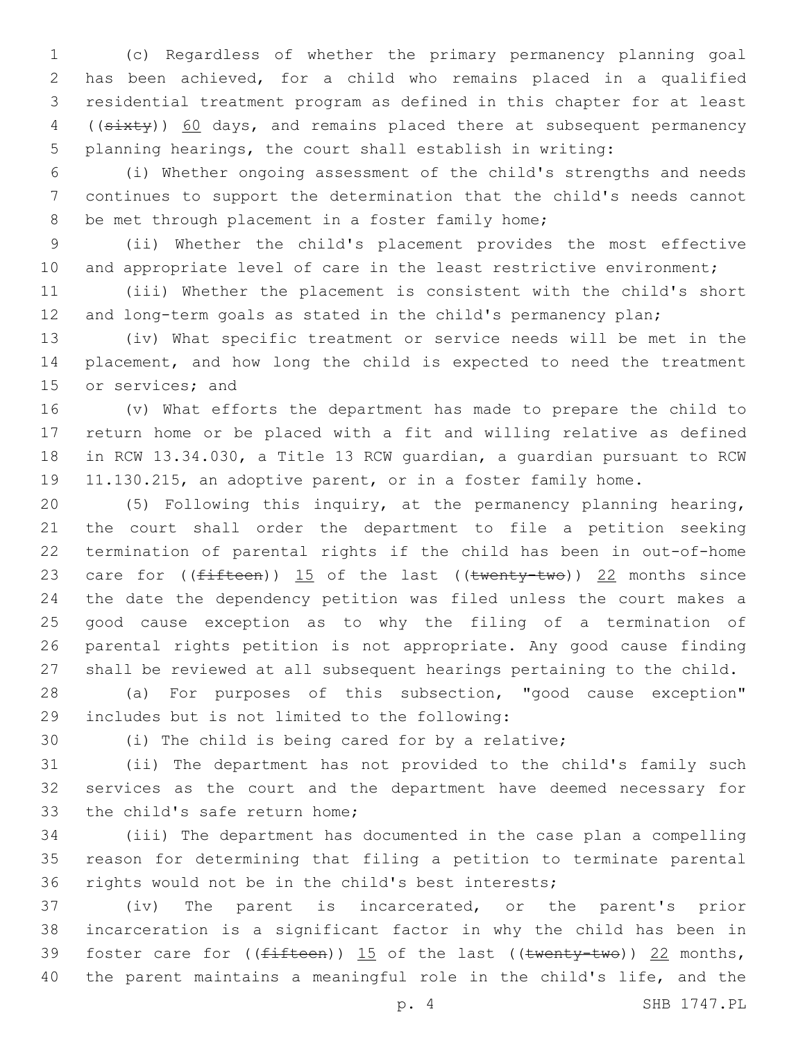(c) Regardless of whether the primary permanency planning goal has been achieved, for a child who remains placed in a qualified residential treatment program as defined in this chapter for at least 4 ((sixty)) 60 days, and remains placed there at subsequent permanency planning hearings, the court shall establish in writing:

 (i) Whether ongoing assessment of the child's strengths and needs continues to support the determination that the child's needs cannot 8 be met through placement in a foster family home;

 (ii) Whether the child's placement provides the most effective 10 and appropriate level of care in the least restrictive environment;

 (iii) Whether the placement is consistent with the child's short and long-term goals as stated in the child's permanency plan;

 (iv) What specific treatment or service needs will be met in the placement, and how long the child is expected to need the treatment 15 or services; and

 (v) What efforts the department has made to prepare the child to return home or be placed with a fit and willing relative as defined in RCW 13.34.030, a Title 13 RCW guardian, a guardian pursuant to RCW 11.130.215, an adoptive parent, or in a foster family home.

 (5) Following this inquiry, at the permanency planning hearing, the court shall order the department to file a petition seeking termination of parental rights if the child has been in out-of-home 23 care for  $(\text{fifteen})$ ) 15 of the last  $((\text{twenty-two}))$  22 months since the date the dependency petition was filed unless the court makes a good cause exception as to why the filing of a termination of parental rights petition is not appropriate. Any good cause finding shall be reviewed at all subsequent hearings pertaining to the child.

 (a) For purposes of this subsection, "good cause exception" includes but is not limited to the following:29

(i) The child is being cared for by a relative;

 (ii) The department has not provided to the child's family such services as the court and the department have deemed necessary for 33 the child's safe return home;

 (iii) The department has documented in the case plan a compelling reason for determining that filing a petition to terminate parental rights would not be in the child's best interests;

 (iv) The parent is incarcerated, or the parent's prior incarceration is a significant factor in why the child has been in 39 foster care for  $((fifteen))$  15 of the last  $((twenty-two))$  22 months, the parent maintains a meaningful role in the child's life, and the

p. 4 SHB 1747.PL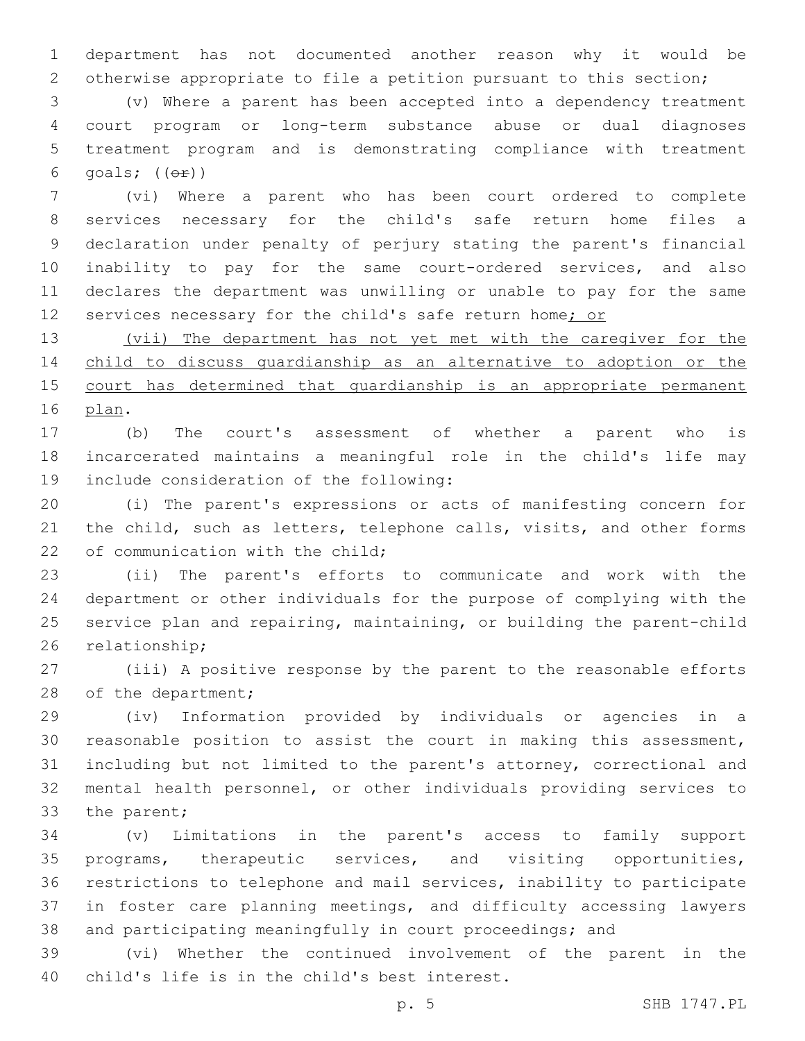department has not documented another reason why it would be otherwise appropriate to file a petition pursuant to this section;

 (v) Where a parent has been accepted into a dependency treatment court program or long-term substance abuse or dual diagnoses treatment program and is demonstrating compliance with treatment 6 goals;  $((\theta \cdot \hat{r}))$ 

 (vi) Where a parent who has been court ordered to complete services necessary for the child's safe return home files a declaration under penalty of perjury stating the parent's financial inability to pay for the same court-ordered services, and also declares the department was unwilling or unable to pay for the same 12 services necessary for the child's safe return home; or

 (vii) The department has not yet met with the caregiver for the child to discuss guardianship as an alternative to adoption or the 15 court has determined that quardianship is an appropriate permanent 16 plan.

 (b) The court's assessment of whether a parent who is incarcerated maintains a meaningful role in the child's life may 19 include consideration of the following:

 (i) The parent's expressions or acts of manifesting concern for 21 the child, such as letters, telephone calls, visits, and other forms 22 of communication with the child:

 (ii) The parent's efforts to communicate and work with the department or other individuals for the purpose of complying with the service plan and repairing, maintaining, or building the parent-child 26 relationship;

 (iii) A positive response by the parent to the reasonable efforts 28 of the department;

 (iv) Information provided by individuals or agencies in a reasonable position to assist the court in making this assessment, including but not limited to the parent's attorney, correctional and mental health personnel, or other individuals providing services to 33 the parent;

 (v) Limitations in the parent's access to family support programs, therapeutic services, and visiting opportunities, restrictions to telephone and mail services, inability to participate in foster care planning meetings, and difficulty accessing lawyers and participating meaningfully in court proceedings; and

 (vi) Whether the continued involvement of the parent in the 40 child's life is in the child's best interest.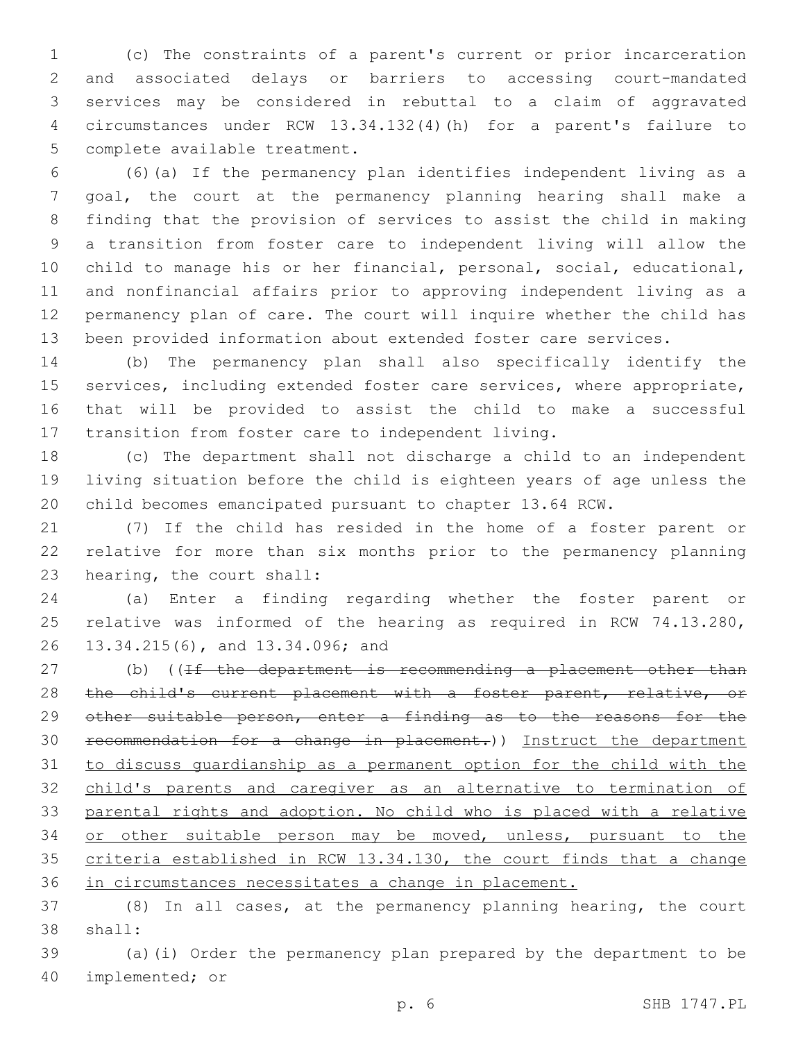(c) The constraints of a parent's current or prior incarceration and associated delays or barriers to accessing court-mandated services may be considered in rebuttal to a claim of aggravated circumstances under RCW 13.34.132(4)(h) for a parent's failure to 5 complete available treatment.

 (6)(a) If the permanency plan identifies independent living as a goal, the court at the permanency planning hearing shall make a finding that the provision of services to assist the child in making a transition from foster care to independent living will allow the child to manage his or her financial, personal, social, educational, and nonfinancial affairs prior to approving independent living as a permanency plan of care. The court will inquire whether the child has been provided information about extended foster care services.

 (b) The permanency plan shall also specifically identify the services, including extended foster care services, where appropriate, that will be provided to assist the child to make a successful transition from foster care to independent living.

 (c) The department shall not discharge a child to an independent living situation before the child is eighteen years of age unless the child becomes emancipated pursuant to chapter 13.64 RCW.

 (7) If the child has resided in the home of a foster parent or relative for more than six months prior to the permanency planning 23 hearing, the court shall:

 (a) Enter a finding regarding whether the foster parent or relative was informed of the hearing as required in RCW 74.13.280, 26 13.34.215(6), and 13.34.096; and

27 (b) ((If the department is recommending a placement other than 28 the child's current placement with a foster parent, relative, or 29 other suitable person, enter a finding as to the reasons for the recommendation for a change in placement.)) Instruct the department to discuss guardianship as a permanent option for the child with the child's parents and caregiver as an alternative to termination of parental rights and adoption. No child who is placed with a relative or other suitable person may be moved, unless, pursuant to the criteria established in RCW 13.34.130, the court finds that a change in circumstances necessitates a change in placement.

 (8) In all cases, at the permanency planning hearing, the court 38 shall:

 (a)(i) Order the permanency plan prepared by the department to be 40 implemented; or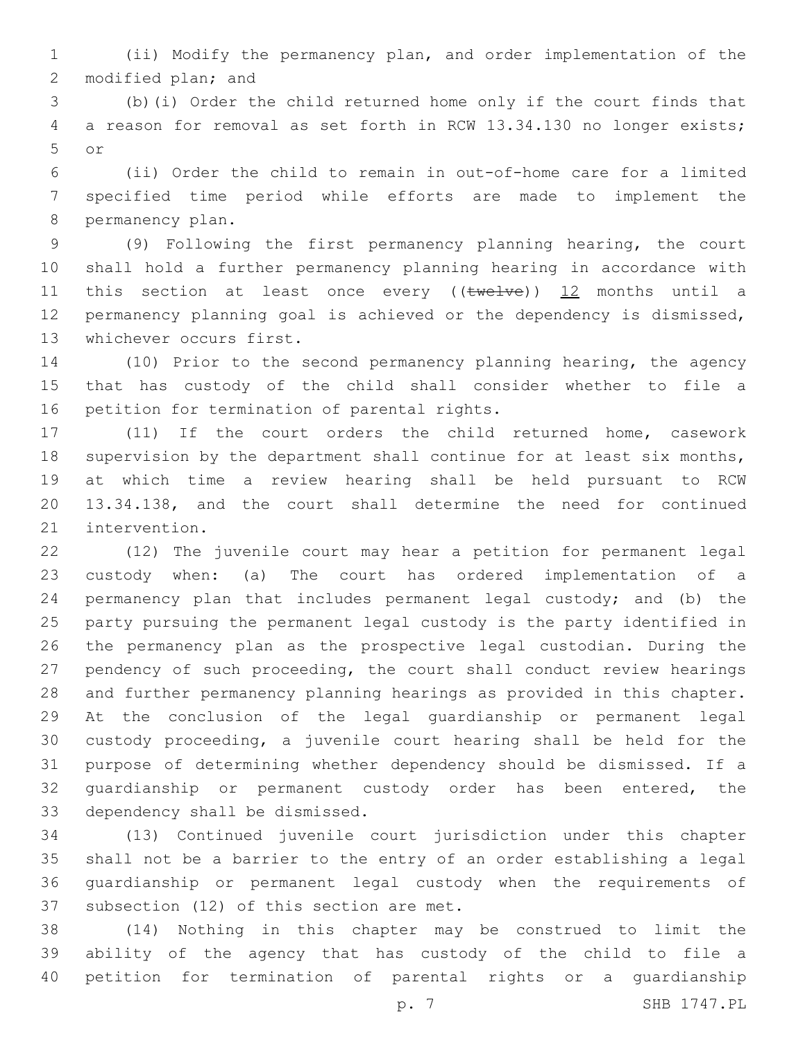(ii) Modify the permanency plan, and order implementation of the 2 modified plan; and

 (b)(i) Order the child returned home only if the court finds that a reason for removal as set forth in RCW 13.34.130 no longer exists; or5

 (ii) Order the child to remain in out-of-home care for a limited specified time period while efforts are made to implement the 8 permanency plan.

 (9) Following the first permanency planning hearing, the court shall hold a further permanency planning hearing in accordance with 11 this section at least once every ((twelve)) 12 months until a permanency planning goal is achieved or the dependency is dismissed, 13 whichever occurs first.

 (10) Prior to the second permanency planning hearing, the agency that has custody of the child shall consider whether to file a 16 petition for termination of parental rights.

 (11) If the court orders the child returned home, casework 18 supervision by the department shall continue for at least six months, at which time a review hearing shall be held pursuant to RCW 13.34.138, and the court shall determine the need for continued 21 intervention.

 (12) The juvenile court may hear a petition for permanent legal custody when: (a) The court has ordered implementation of a permanency plan that includes permanent legal custody; and (b) the party pursuing the permanent legal custody is the party identified in the permanency plan as the prospective legal custodian. During the pendency of such proceeding, the court shall conduct review hearings and further permanency planning hearings as provided in this chapter. At the conclusion of the legal guardianship or permanent legal custody proceeding, a juvenile court hearing shall be held for the purpose of determining whether dependency should be dismissed. If a 32 quardianship or permanent custody order has been entered, the 33 dependency shall be dismissed.

 (13) Continued juvenile court jurisdiction under this chapter shall not be a barrier to the entry of an order establishing a legal guardianship or permanent legal custody when the requirements of 37 subsection (12) of this section are met.

 (14) Nothing in this chapter may be construed to limit the ability of the agency that has custody of the child to file a petition for termination of parental rights or a guardianship

p. 7 SHB 1747.PL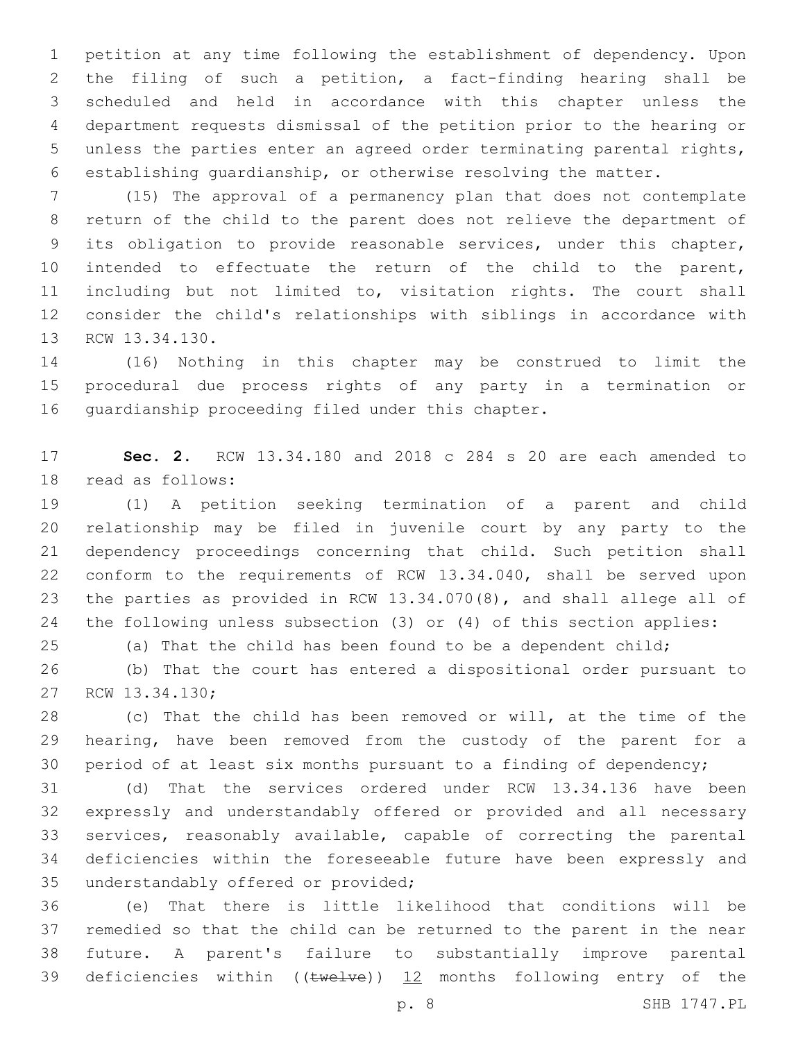petition at any time following the establishment of dependency. Upon the filing of such a petition, a fact-finding hearing shall be scheduled and held in accordance with this chapter unless the department requests dismissal of the petition prior to the hearing or unless the parties enter an agreed order terminating parental rights, establishing guardianship, or otherwise resolving the matter.

 (15) The approval of a permanency plan that does not contemplate return of the child to the parent does not relieve the department of its obligation to provide reasonable services, under this chapter, intended to effectuate the return of the child to the parent, including but not limited to, visitation rights. The court shall consider the child's relationships with siblings in accordance with 13 RCW 13.34.130.

 (16) Nothing in this chapter may be construed to limit the procedural due process rights of any party in a termination or 16 quardianship proceeding filed under this chapter.

 **Sec. 2.** RCW 13.34.180 and 2018 c 284 s 20 are each amended to 18 read as follows:

 (1) A petition seeking termination of a parent and child relationship may be filed in juvenile court by any party to the dependency proceedings concerning that child. Such petition shall conform to the requirements of RCW 13.34.040, shall be served upon the parties as provided in RCW 13.34.070(8), and shall allege all of the following unless subsection (3) or (4) of this section applies:

(a) That the child has been found to be a dependent child;

 (b) That the court has entered a dispositional order pursuant to 27 RCW 13.34.130;

 (c) That the child has been removed or will, at the time of the hearing, have been removed from the custody of the parent for a period of at least six months pursuant to a finding of dependency;

 (d) That the services ordered under RCW 13.34.136 have been expressly and understandably offered or provided and all necessary services, reasonably available, capable of correcting the parental deficiencies within the foreseeable future have been expressly and 35 understandably offered or provided;

 (e) That there is little likelihood that conditions will be remedied so that the child can be returned to the parent in the near future. A parent's failure to substantially improve parental 39 deficiencies within (( $t$ welve)) 12 months following entry of the

p. 8 SHB 1747.PL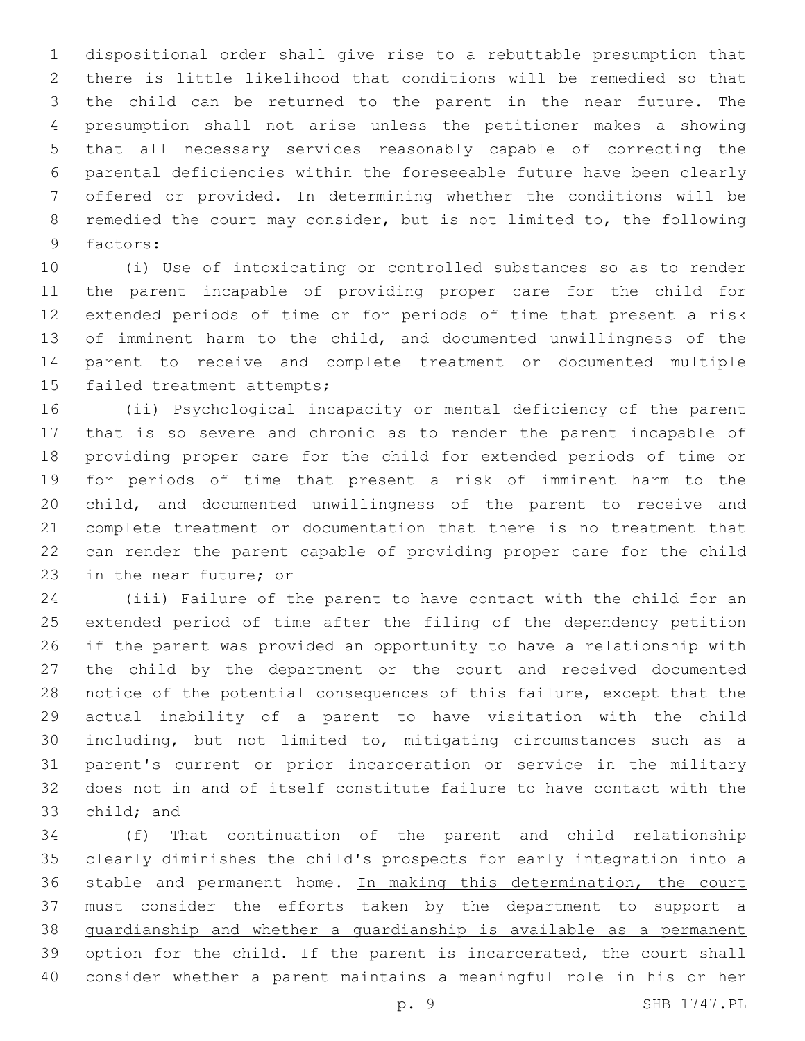dispositional order shall give rise to a rebuttable presumption that there is little likelihood that conditions will be remedied so that the child can be returned to the parent in the near future. The presumption shall not arise unless the petitioner makes a showing that all necessary services reasonably capable of correcting the parental deficiencies within the foreseeable future have been clearly offered or provided. In determining whether the conditions will be remedied the court may consider, but is not limited to, the following 9 factors:

 (i) Use of intoxicating or controlled substances so as to render the parent incapable of providing proper care for the child for extended periods of time or for periods of time that present a risk of imminent harm to the child, and documented unwillingness of the parent to receive and complete treatment or documented multiple 15 failed treatment attempts;

 (ii) Psychological incapacity or mental deficiency of the parent that is so severe and chronic as to render the parent incapable of providing proper care for the child for extended periods of time or for periods of time that present a risk of imminent harm to the child, and documented unwillingness of the parent to receive and complete treatment or documentation that there is no treatment that can render the parent capable of providing proper care for the child 23 in the near future; or

 (iii) Failure of the parent to have contact with the child for an extended period of time after the filing of the dependency petition if the parent was provided an opportunity to have a relationship with the child by the department or the court and received documented notice of the potential consequences of this failure, except that the actual inability of a parent to have visitation with the child including, but not limited to, mitigating circumstances such as a parent's current or prior incarceration or service in the military does not in and of itself constitute failure to have contact with the 33 child; and

 (f) That continuation of the parent and child relationship clearly diminishes the child's prospects for early integration into a 36 stable and permanent home. In making this determination, the court must consider the efforts taken by the department to support a guardianship and whether a guardianship is available as a permanent 39 option for the child. If the parent is incarcerated, the court shall consider whether a parent maintains a meaningful role in his or her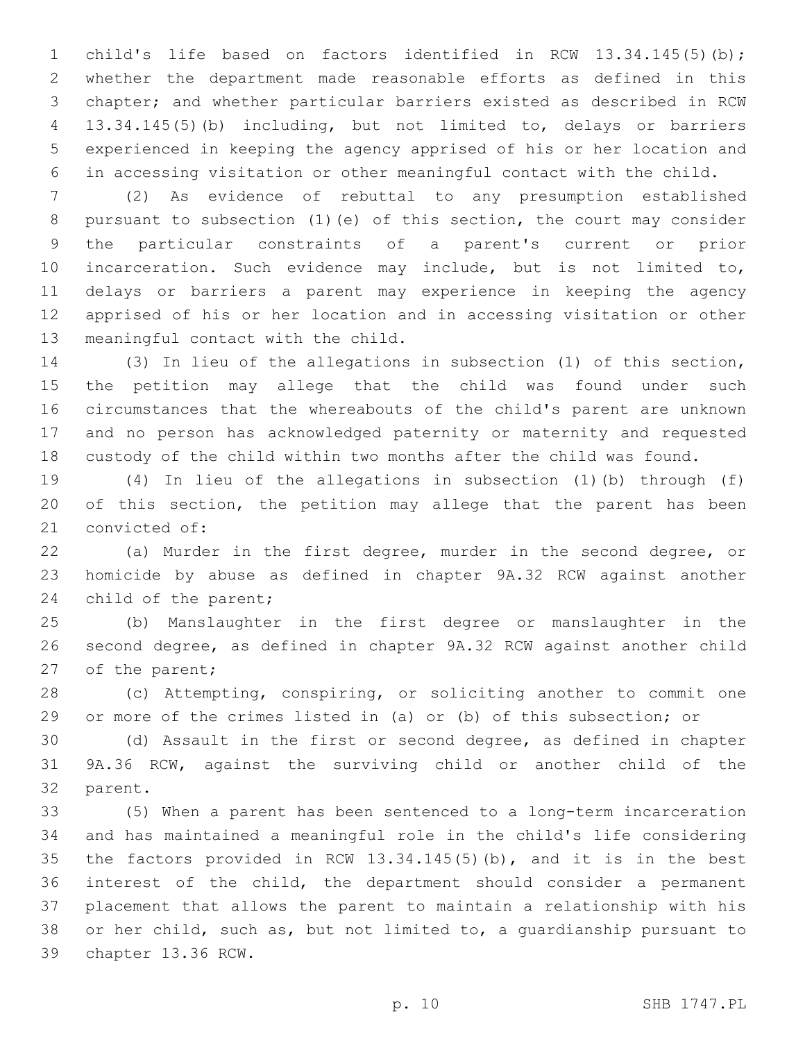child's life based on factors identified in RCW 13.34.145(5)(b); whether the department made reasonable efforts as defined in this chapter; and whether particular barriers existed as described in RCW 13.34.145(5)(b) including, but not limited to, delays or barriers experienced in keeping the agency apprised of his or her location and in accessing visitation or other meaningful contact with the child.

 (2) As evidence of rebuttal to any presumption established pursuant to subsection (1)(e) of this section, the court may consider the particular constraints of a parent's current or prior incarceration. Such evidence may include, but is not limited to, delays or barriers a parent may experience in keeping the agency apprised of his or her location and in accessing visitation or other 13 meaningful contact with the child.

 (3) In lieu of the allegations in subsection (1) of this section, the petition may allege that the child was found under such circumstances that the whereabouts of the child's parent are unknown and no person has acknowledged paternity or maternity and requested custody of the child within two months after the child was found.

 (4) In lieu of the allegations in subsection (1)(b) through (f) of this section, the petition may allege that the parent has been 21 convicted of:

 (a) Murder in the first degree, murder in the second degree, or homicide by abuse as defined in chapter 9A.32 RCW against another 24 child of the parent;

 (b) Manslaughter in the first degree or manslaughter in the second degree, as defined in chapter 9A.32 RCW against another child 27 of the parent;

 (c) Attempting, conspiring, or soliciting another to commit one or more of the crimes listed in (a) or (b) of this subsection; or

 (d) Assault in the first or second degree, as defined in chapter 9A.36 RCW, against the surviving child or another child of the 32 parent.

 (5) When a parent has been sentenced to a long-term incarceration and has maintained a meaningful role in the child's life considering the factors provided in RCW 13.34.145(5)(b), and it is in the best interest of the child, the department should consider a permanent placement that allows the parent to maintain a relationship with his or her child, such as, but not limited to, a guardianship pursuant to 39 chapter 13.36 RCW.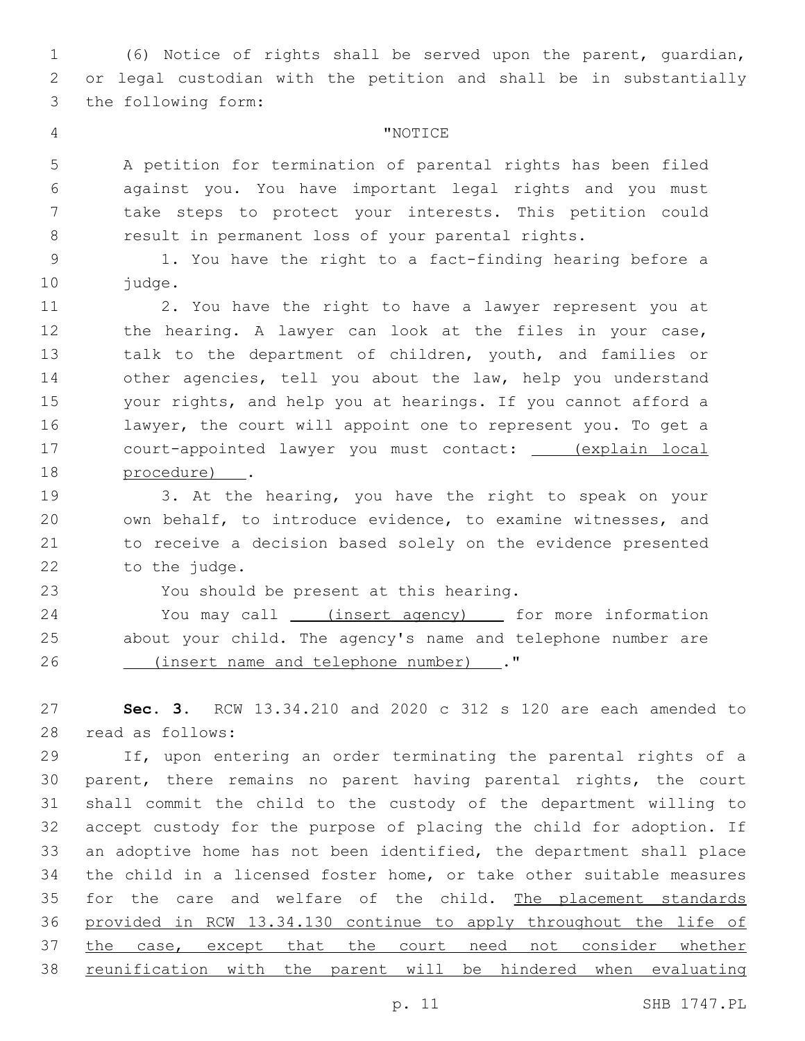(6) Notice of rights shall be served upon the parent, guardian, or legal custodian with the petition and shall be in substantially 3 the following form:

## "NOTICE4

 A petition for termination of parental rights has been filed against you. You have important legal rights and you must take steps to protect your interests. This petition could result in permanent loss of your parental rights.

 1. You have the right to a fact-finding hearing before a 10 judge.

 2. You have the right to have a lawyer represent you at 12 the hearing. A lawyer can look at the files in your case, talk to the department of children, youth, and families or other agencies, tell you about the law, help you understand your rights, and help you at hearings. If you cannot afford a lawyer, the court will appoint one to represent you. To get a court-appointed lawyer you must contact: (explain local 18 procedure) .

 3. At the hearing, you have the right to speak on your own behalf, to introduce evidence, to examine witnesses, and to receive a decision based solely on the evidence presented 22 to the judge.

23 You should be present at this hearing.

24 You may call \_\_\_\_(insert agency) \_\_\_\_\_ for more information about your child. The agency's name and telephone number are (insert name and telephone number) ."26

 **Sec. 3.** RCW 13.34.210 and 2020 c 312 s 120 are each amended to read as follows:28

 If, upon entering an order terminating the parental rights of a parent, there remains no parent having parental rights, the court shall commit the child to the custody of the department willing to accept custody for the purpose of placing the child for adoption. If an adoptive home has not been identified, the department shall place the child in a licensed foster home, or take other suitable measures 35 for the care and welfare of the child. The placement standards provided in RCW 13.34.130 continue to apply throughout the life of 37 the case, except that the court need not consider whether reunification with the parent will be hindered when evaluating